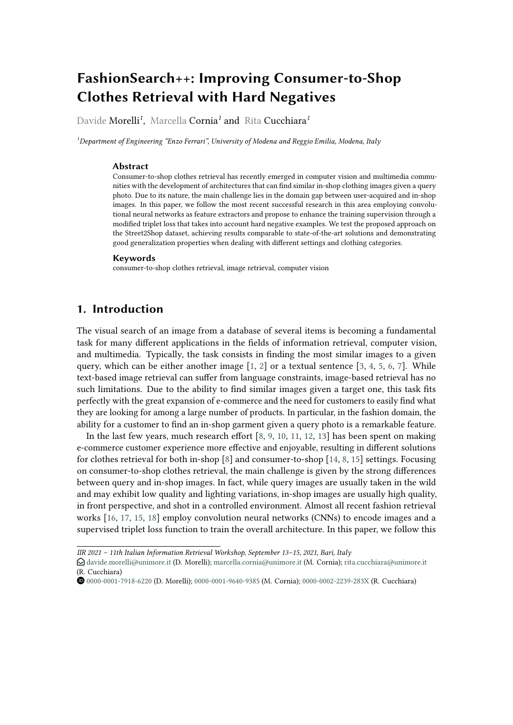# **FashionSearch++: Improving Consumer-to-Shop Clothes Retrieval with Hard Negatives**

Davide Morelli*<sup>1</sup>* , Marcella Cornia*<sup>1</sup>* and Rita Cucchiara*<sup>1</sup>*

*<sup>1</sup>Department of Engineering "Enzo Ferrari", University of Modena and Reggio Emilia, Modena, Italy*

#### **Abstract**

Consumer-to-shop clothes retrieval has recently emerged in computer vision and multimedia communities with the development of architectures that can find similar in-shop clothing images given a query photo. Due to its nature, the main challenge lies in the domain gap between user-acquired and in-shop images. In this paper, we follow the most recent successful research in this area employing convolutional neural networks as feature extractors and propose to enhance the training supervision through a modified triplet loss that takes into account hard negative examples. We test the proposed approach on the Street2Shop dataset, achieving results comparable to state-of-the-art solutions and demonstrating good generalization properties when dealing with different settings and clothing categories.

#### **Keywords**

consumer-to-shop clothes retrieval, image retrieval, computer vision

### **1. Introduction**

The visual search of an image from a database of several items is becoming a fundamental task for many different applications in the fields of information retrieval, computer vision, and multimedia. Typically, the task consists in finding the most similar images to a given query, which can be either another image  $[1, 2]$  $[1, 2]$  $[1, 2]$  or a textual sentence  $[3, 4, 5, 6, 7]$  $[3, 4, 5, 6, 7]$  $[3, 4, 5, 6, 7]$  $[3, 4, 5, 6, 7]$  $[3, 4, 5, 6, 7]$  $[3, 4, 5, 6, 7]$  $[3, 4, 5, 6, 7]$  $[3, 4, 5, 6, 7]$  $[3, 4, 5, 6, 7]$ . While text-based image retrieval can suffer from language constraints, image-based retrieval has no such limitations. Due to the ability to find similar images given a target one, this task fits perfectly with the great expansion of e-commerce and the need for customers to easily find what they are looking for among a large number of products. In particular, in the fashion domain, the ability for a customer to find an in-shop garment given a query photo is a remarkable feature.

In the last few years, much research effort [\[8,](#page-5-7) [9,](#page-5-8) [10,](#page-5-9) [11,](#page-5-10) [12,](#page-5-11) [13\]](#page-5-12) has been spent on making e-commerce customer experience more effective and enjoyable, resulting in different solutions for clothes retrieval for both in-shop  $\lceil 8 \rceil$  and consumer-to-shop  $\lceil 14, 8, 15 \rceil$  $\lceil 14, 8, 15 \rceil$  $\lceil 14, 8, 15 \rceil$  settings. Focusing on consumer-to-shop clothes retrieval, the main challenge is given by the strong differences between query and in-shop images. In fact, while query images are usually taken in the wild and may exhibit low quality and lighting variations, in-shop images are usually high quality, in front perspective, and shot in a controlled environment. Almost all recent fashion retrieval works [\[16,](#page-6-0) [17,](#page-6-1) [15,](#page-5-14) [18\]](#page-6-2) employ convolution neural networks (CNNs) to encode images and a supervised triplet loss function to train the overall architecture. In this paper, we follow this

[0000-0001-7918-6220](https://orcid.org/0000-0001-7918-6220) (D. Morelli); [0000-0001-9640-9385](https://orcid.org/0000-0001-9640-9385) (M. Cornia); [0000-0002-2239-283X](https://orcid.org/0000-0002-2239-283X) (R. Cucchiara)

*IIR 2021 – 11th Italian Information Retrieval Workshop, September 13–15, 2021, Bari, Italy*

 $\bigcirc$  [davide.morelli@unimore.it](mailto:davide.morelli@unimore.it) (D. Morelli); [marcella.cornia@unimore.it](mailto:marcella.cornia@unimore.it) (M. Cornia); [rita.cucchiara@unimore.it](mailto:rita.cucchiara@unimore.it) (R. Cucchiara)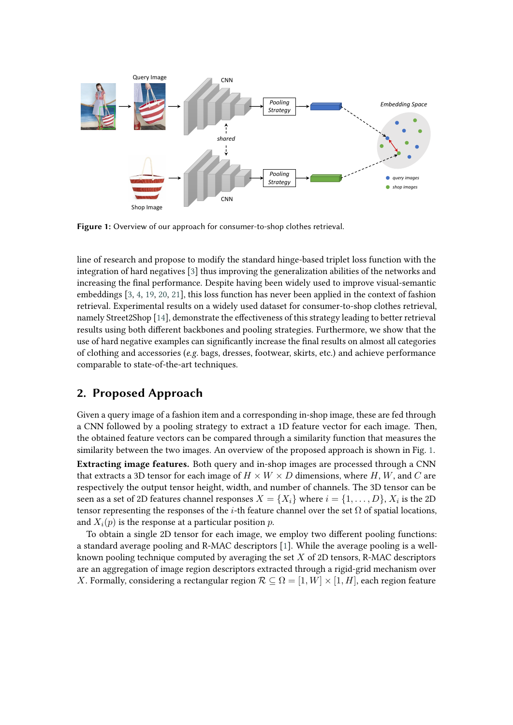<span id="page-1-0"></span>

**Figure 1:** Overview of our approach for consumer-to-shop clothes retrieval.

line of research and propose to modify the standard hinge-based triplet loss function with the integration of hard negatives [\[3\]](#page-5-2) thus improving the generalization abilities of the networks and increasing the final performance. Despite having been widely used to improve visual-semantic embeddings [\[3,](#page-5-2) [4,](#page-5-3) [19,](#page-6-3) [20,](#page-6-4) [21\]](#page-6-5), this loss function has never been applied in the context of fashion retrieval. Experimental results on a widely used dataset for consumer-to-shop clothes retrieval, namely Street2Shop [\[14\]](#page-5-13), demonstrate the effectiveness of this strategy leading to better retrieval results using both different backbones and pooling strategies. Furthermore, we show that the use of hard negative examples can significantly increase the final results on almost all categories of clothing and accessories (*e.g.* bags, dresses, footwear, skirts, etc.) and achieve performance comparable to state-of-the-art techniques.

## **2. Proposed Approach**

Given a query image of a fashion item and a corresponding in-shop image, these are fed through a CNN followed by a pooling strategy to extract a 1D feature vector for each image. Then, the obtained feature vectors can be compared through a similarity function that measures the similarity between the two images. An overview of the proposed approach is shown in Fig. [1.](#page-1-0) **Extracting image features.** Both query and in-shop images are processed through a CNN that extracts a 3D tensor for each image of  $H \times W \times D$  dimensions, where H, W, and C are respectively the output tensor height, width, and number of channels. The 3D tensor can be seen as a set of 2D features channel responses  $X = \{X_i\}$  where  $i = \{1, \ldots, D\}, X_i$  is the 2D tensor representing the responses of the *i*-th feature channel over the set  $\Omega$  of spatial locations, and  $X_i(p)$  is the response at a particular position p.

To obtain a single 2D tensor for each image, we employ two different pooling functions: a standard average pooling and R-MAC descriptors [\[1\]](#page-5-0). While the average pooling is a wellknown pooling technique computed by averaging the set  $X$  of 2D tensors, R-MAC descriptors are an aggregation of image region descriptors extracted through a rigid-grid mechanism over X. Formally, considering a rectangular region  $\mathcal{R} \subseteq \Omega = [1, W] \times [1, H]$ , each region feature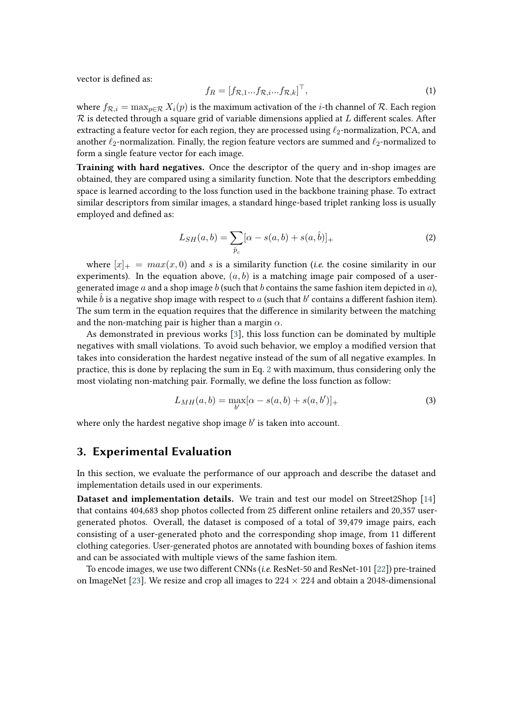vector is defined as:

$$
f_R = [f_{\mathcal{R},1}...f_{\mathcal{R},i}...f_{\mathcal{R},k}]^\top,
$$
\n(1)

where  $f_{\mathcal{R}, i} = \max_{p \in \mathcal{R}} X_i(p)$  is the maximum activation of the *i*-th channel of  $\mathcal{R}$ . Each region  $\mathcal R$  is detected through a square grid of variable dimensions applied at  $L$  different scales. After extracting a feature vector for each region, they are processed using  $\ell_2$ -normalization, PCA, and another  $\ell_2$ -normalization. Finally, the region feature vectors are summed and  $\ell_2$ -normalized to form a single feature vector for each image.

**Training with hard negatives.** Once the descriptor of the query and in-shop images are obtained, they are compared using a similarity function. Note that the descriptors embedding space is learned according to the loss function used in the backbone training phase. To extract similar descriptors from similar images, a standard hinge-based triplet ranking loss is usually employed and defined as:

<span id="page-2-0"></span>
$$
L_{SH}(a,b) = \sum_{\hat{p}_c} [\alpha - s(a,b) + s(a,\hat{b})]_+
$$
 (2)

where  $[x]_+ = max(x, 0)$  and s is a similarity function (*i.e.* the cosine similarity in our experiments). In the equation above,  $(a, b)$  is a matching image pair composed of a usergenerated image a and a shop image  $b$  (such that  $b$  contains the same fashion item depicted in  $a$ ), while  $\hat{b}$  is a negative shop image with respect to a (such that  $b'$  contains a different fashion item). The sum term in the equation requires that the difference in similarity between the matching and the non-matching pair is higher than a margin  $\alpha$ .

As demonstrated in previous works [\[3\]](#page-5-2), this loss function can be dominated by multiple negatives with small violations. To avoid such behavior, we employ a modified version that takes into consideration the hardest negative instead of the sum of all negative examples. In practice, this is done by replacing the sum in Eq. [2](#page-2-0) with maximum, thus considering only the most violating non-matching pair. Formally, we define the loss function as follow:

$$
L_{MH}(a,b) = \max_{b'} [\alpha - s(a,b) + s(a,b')]_+
$$
 (3)

where only the hardest negative shop image  $b'$  is taken into account.

### **3. Experimental Evaluation**

In this section, we evaluate the performance of our approach and describe the dataset and implementation details used in our experiments.

**Dataset and implementation details.** We train and test our model on Street2Shop [\[14\]](#page-5-13) that contains 404,683 shop photos collected from 25 different online retailers and 20,357 usergenerated photos. Overall, the dataset is composed of a total of 39,479 image pairs, each consisting of a user-generated photo and the corresponding shop image, from 11 different clothing categories. User-generated photos are annotated with bounding boxes of fashion items and can be associated with multiple views of the same fashion item.

To encode images, we use two different CNNs (*i.e.* ResNet-50 and ResNet-101 [\[22\]](#page-6-6)) pre-trained on ImageNet [\[23\]](#page-6-7). We resize and crop all images to  $224 \times 224$  and obtain a 2048-dimensional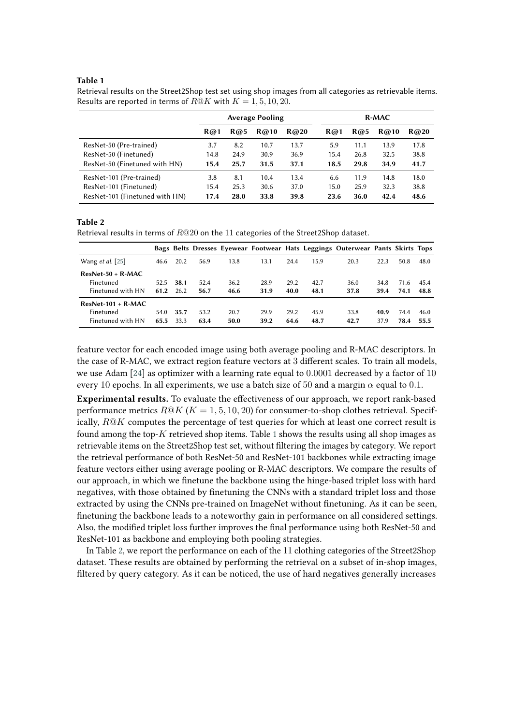#### <span id="page-3-0"></span>**Table 1**

Retrieval results on the Street2Shop test set using shop images from all categories as retrievable items. Results are reported in terms of  $R@K$  with  $K = 1, 5, 10, 20$ .

|                                                        | <b>Average Pooling</b> |              |              |              | $R-MAC$      |              |              |              |
|--------------------------------------------------------|------------------------|--------------|--------------|--------------|--------------|--------------|--------------|--------------|
|                                                        | R@1                    | R@5          | R@10         | R@20         | R@1          | R@5          | R@10         | R@20         |
| ResNet-50 (Pre-trained)                                | 3.7                    | 8.2          | 10.7         | 13.7         | 5.9          | 11.1         | 13.9         | 17.8         |
| ResNet-50 (Finetuned)<br>ResNet-50 (Finetuned with HN) | 14.8<br>15.4           | 24.9<br>25.7 | 30.9<br>31.5 | 36.9<br>37.1 | 15.4<br>18.5 | 26.8<br>29.8 | 32.5<br>34.9 | 38.8<br>41.7 |
|                                                        |                        |              |              |              |              |              |              |              |
| ResNet-101 (Pre-trained)                               | 3.8                    | 8.1          | 10.4         | 13.4         | 6.6          | 11.9         | 14.8         | 18.0         |
| ResNet-101 (Finetuned)                                 | 15.4                   | 25.3         | 30.6         | 37.0         | 15.0         | 25.9         | 32.3         | 38.8         |
| ResNet-101 (Finetuned with HN)                         | 17.4                   | 28.0         | 33.8         | 39.8         | 23.6         | 36.0         | 42.4         | 48.6         |

#### <span id="page-3-1"></span>**Table 2**

Retrieval results in terms of  $R@20$  on the 11 categories of the Street2Shop dataset.

|                         |      |      |      |      |      |      |      | Bags Belts Dresses Eyewear Footwear Hats Leggings Outerwear Pants Skirts Tops |      |      |      |
|-------------------------|------|------|------|------|------|------|------|-------------------------------------------------------------------------------|------|------|------|
| Wang <i>et al.</i> [25] | 46.6 | 20.2 | 56.9 | 13.8 | 13.1 | 24.4 | 15.9 | 20.3                                                                          | 22.3 | 50.8 | 48.0 |
| $ResNet-50 + R-MAC$     |      |      |      |      |      |      |      |                                                                               |      |      |      |
| Finetuned               | 52.5 | 38.1 | 52.4 | 36.2 | 28.9 | 29.2 | 42.7 | 36.0                                                                          | 34.8 | 71.6 | 45.4 |
| Finetuned with HN       | 61.2 | 26.2 | 56.7 | 46.6 | 31.9 | 40.0 | 48.1 | 37.8                                                                          | 39.4 | 74.1 | 48.8 |
| $ResNet-101 + R-MAC$    |      |      |      |      |      |      |      |                                                                               |      |      |      |
| Finetuned               | 54.0 | 35.7 | 53.2 | 20.7 | 29.9 | 29.2 | 45.9 | 33.8                                                                          | 40.9 | 74.4 | 46.0 |
| Finetuned with HN       | 65.5 | 33.3 | 63.4 | 50.0 | 39.2 | 64.6 | 48.7 | 42.7                                                                          | 37.9 | 78.4 | 55.5 |

feature vector for each encoded image using both average pooling and R-MAC descriptors. In the case of R-MAC, we extract region feature vectors at 3 different scales. To train all models, we use Adam [\[24\]](#page-6-9) as optimizer with a learning rate equal to 0.0001 decreased by a factor of 10 every 10 epochs. In all experiments, we use a batch size of 50 and a margin  $\alpha$  equal to 0.1.

**Experimental results.** To evaluate the effectiveness of our approach, we report rank-based performance metrics  $R@K(K = 1, 5, 10, 20)$  for consumer-to-shop clothes retrieval. Specifically,  $R@K$  computes the percentage of test queries for which at least one correct result is found among the top- $K$  retrieved shop items. Table [1](#page-3-0) shows the results using all shop images as retrievable items on the Street2Shop test set, without filtering the images by category. We report the retrieval performance of both ResNet-50 and ResNet-101 backbones while extracting image feature vectors either using average pooling or R-MAC descriptors. We compare the results of our approach, in which we finetune the backbone using the hinge-based triplet loss with hard negatives, with those obtained by finetuning the CNNs with a standard triplet loss and those extracted by using the CNNs pre-trained on ImageNet without finetuning. As it can be seen, finetuning the backbone leads to a noteworthy gain in performance on all considered settings. Also, the modified triplet loss further improves the final performance using both ResNet-50 and ResNet-101 as backbone and employing both pooling strategies.

In Table [2,](#page-3-1) we report the performance on each of the 11 clothing categories of the Street2Shop dataset. These results are obtained by performing the retrieval on a subset of in-shop images, filtered by query category. As it can be noticed, the use of hard negatives generally increases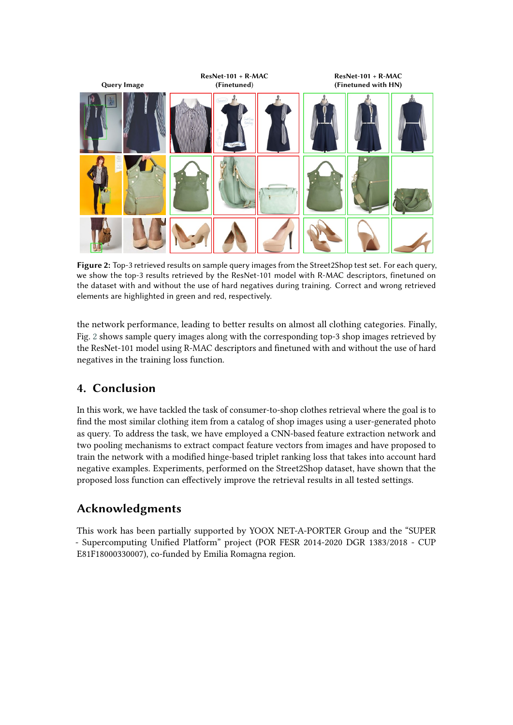<span id="page-4-0"></span>

**Figure 2:** Top-3 retrieved results on sample query images from the Street2Shop test set. For each query, we show the top-3 results retrieved by the ResNet-101 model with R-MAC descriptors, finetuned on the dataset with and without the use of hard negatives during training. Correct and wrong retrieved elements are highlighted in green and red, respectively.

the network performance, leading to better results on almost all clothing categories. Finally, Fig. [2](#page-4-0) shows sample query images along with the corresponding top-3 shop images retrieved by the ResNet-101 model using R-MAC descriptors and finetuned with and without the use of hard negatives in the training loss function.

# **4. Conclusion**

In this work, we have tackled the task of consumer-to-shop clothes retrieval where the goal is to find the most similar clothing item from a catalog of shop images using a user-generated photo as query. To address the task, we have employed a CNN-based feature extraction network and two pooling mechanisms to extract compact feature vectors from images and have proposed to train the network with a modified hinge-based triplet ranking loss that takes into account hard negative examples. Experiments, performed on the Street2Shop dataset, have shown that the proposed loss function can effectively improve the retrieval results in all tested settings.

# **Acknowledgments**

This work has been partially supported by YOOX NET-A-PORTER Group and the "SUPER - Supercomputing Unified Platform" project (POR FESR 2014-2020 DGR 1383/2018 - CUP E81F18000330007), co-funded by Emilia Romagna region.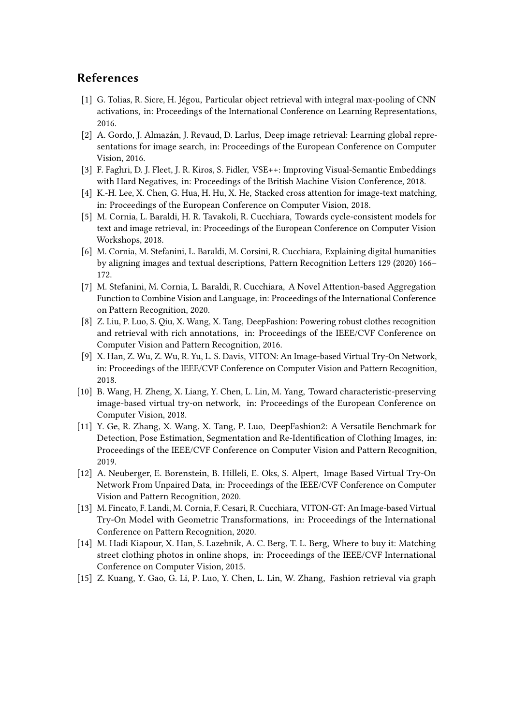### **References**

- <span id="page-5-0"></span>[1] G. Tolias, R. Sicre, H. Jégou, Particular object retrieval with integral max-pooling of CNN activations, in: Proceedings of the International Conference on Learning Representations, 2016.
- <span id="page-5-1"></span>[2] A. Gordo, J. Almazán, J. Revaud, D. Larlus, Deep image retrieval: Learning global representations for image search, in: Proceedings of the European Conference on Computer Vision, 2016.
- <span id="page-5-2"></span>[3] F. Faghri, D. J. Fleet, J. R. Kiros, S. Fidler, VSE++: Improving Visual-Semantic Embeddings with Hard Negatives, in: Proceedings of the British Machine Vision Conference, 2018.
- <span id="page-5-3"></span>[4] K.-H. Lee, X. Chen, G. Hua, H. Hu, X. He, Stacked cross attention for image-text matching, in: Proceedings of the European Conference on Computer Vision, 2018.
- <span id="page-5-4"></span>[5] M. Cornia, L. Baraldi, H. R. Tavakoli, R. Cucchiara, Towards cycle-consistent models for text and image retrieval, in: Proceedings of the European Conference on Computer Vision Workshops, 2018.
- <span id="page-5-5"></span>[6] M. Cornia, M. Stefanini, L. Baraldi, M. Corsini, R. Cucchiara, Explaining digital humanities by aligning images and textual descriptions, Pattern Recognition Letters 129 (2020) 166– 172.
- <span id="page-5-6"></span>[7] M. Stefanini, M. Cornia, L. Baraldi, R. Cucchiara, A Novel Attention-based Aggregation Function to Combine Vision and Language, in: Proceedings of the International Conference on Pattern Recognition, 2020.
- <span id="page-5-7"></span>[8] Z. Liu, P. Luo, S. Qiu, X. Wang, X. Tang, DeepFashion: Powering robust clothes recognition and retrieval with rich annotations, in: Proceedings of the IEEE/CVF Conference on Computer Vision and Pattern Recognition, 2016.
- <span id="page-5-8"></span>[9] X. Han, Z. Wu, Z. Wu, R. Yu, L. S. Davis, VITON: An Image-based Virtual Try-On Network, in: Proceedings of the IEEE/CVF Conference on Computer Vision and Pattern Recognition, 2018.
- <span id="page-5-9"></span>[10] B. Wang, H. Zheng, X. Liang, Y. Chen, L. Lin, M. Yang, Toward characteristic-preserving image-based virtual try-on network, in: Proceedings of the European Conference on Computer Vision, 2018.
- <span id="page-5-10"></span>[11] Y. Ge, R. Zhang, X. Wang, X. Tang, P. Luo, DeepFashion2: A Versatile Benchmark for Detection, Pose Estimation, Segmentation and Re-Identification of Clothing Images, in: Proceedings of the IEEE/CVF Conference on Computer Vision and Pattern Recognition, 2019.
- <span id="page-5-11"></span>[12] A. Neuberger, E. Borenstein, B. Hilleli, E. Oks, S. Alpert, Image Based Virtual Try-On Network From Unpaired Data, in: Proceedings of the IEEE/CVF Conference on Computer Vision and Pattern Recognition, 2020.
- <span id="page-5-12"></span>[13] M. Fincato, F. Landi, M. Cornia, F. Cesari, R. Cucchiara, VITON-GT: An Image-based Virtual Try-On Model with Geometric Transformations, in: Proceedings of the International Conference on Pattern Recognition, 2020.
- <span id="page-5-13"></span>[14] M. Hadi Kiapour, X. Han, S. Lazebnik, A. C. Berg, T. L. Berg, Where to buy it: Matching street clothing photos in online shops, in: Proceedings of the IEEE/CVF International Conference on Computer Vision, 2015.
- <span id="page-5-14"></span>[15] Z. Kuang, Y. Gao, G. Li, P. Luo, Y. Chen, L. Lin, W. Zhang, Fashion retrieval via graph